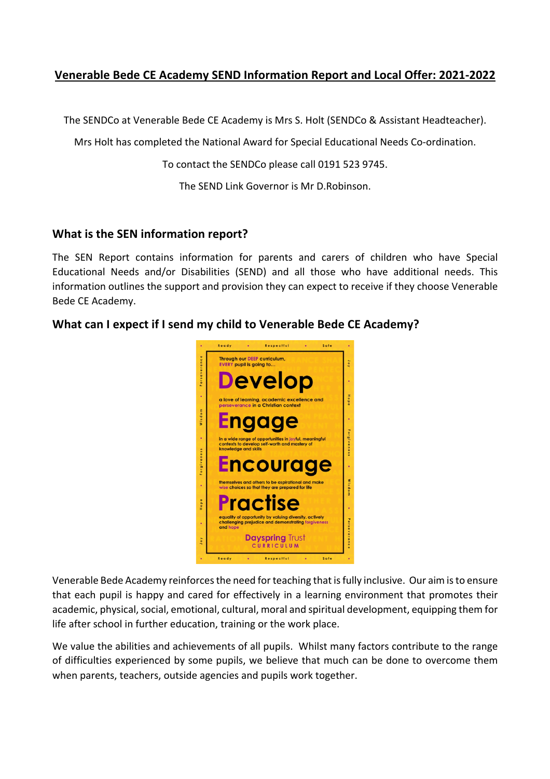### **Venerable Bede CE Academy SEND Information Report and Local Offer: 2021-2022**

The SENDCo at Venerable Bede CE Academy is Mrs S. Holt (SENDCo & Assistant Headteacher).

Mrs Holt has completed the National Award for Special Educational Needs Co-ordination.

To contact the SENDCo please call 0191 523 9745.

The SEND Link Governor is Mr D.Robinson.

#### **What is the SEN information report?**

The SEN Report contains information for parents and carers of children who have Special Educational Needs and/or Disabilities (SEND) and all those who have additional needs. This information outlines the support and provision they can expect to receive if they choose Venerable Bede CE Academy.

#### **What can I expect if I send my child to Venerable Bede CE Academy?**



Venerable Bede Academy reinforces the need for teaching that is fully inclusive. Our aim is to ensure that each pupil is happy and cared for effectively in a learning environment that promotes their academic, physical, social, emotional, cultural, moral and spiritual development, equipping them for life after school in further education, training or the work place.

We value the abilities and achievements of all pupils. Whilst many factors contribute to the range of difficulties experienced by some pupils, we believe that much can be done to overcome them when parents, teachers, outside agencies and pupils work together.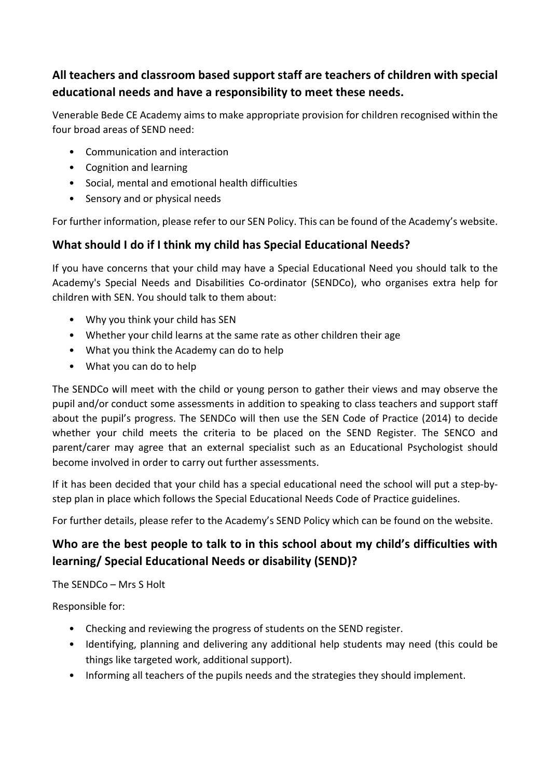# **All teachers and classroom based support staff are teachers of children with special educational needs and have a responsibility to meet these needs.**

Venerable Bede CE Academy aims to make appropriate provision for children recognised within the four broad areas of SEND need:

- Communication and interaction
- Cognition and learning
- Social, mental and emotional health difficulties
- Sensory and or physical needs

For further information, please refer to our SEN Policy. This can be found of the Academy's website.

### **What should I do if I think my child has Special Educational Needs?**

If you have concerns that your child may have a Special Educational Need you should talk to the Academy's Special Needs and Disabilities Co-ordinator (SENDCo), who organises extra help for children with SEN. You should talk to them about:

- Why you think your child has SEN
- Whether your child learns at the same rate as other children their age
- What you think the Academy can do to help
- What you can do to help

The SENDCo will meet with the child or young person to gather their views and may observe the pupil and/or conduct some assessments in addition to speaking to class teachers and support staff about the pupil's progress. The SENDCo will then use the SEN Code of Practice (2014) to decide whether your child meets the criteria to be placed on the SEND Register. The SENCO and parent/carer may agree that an external specialist such as an Educational Psychologist should become involved in order to carry out further assessments.

If it has been decided that your child has a special educational need the school will put a step-bystep plan in place which follows the Special Educational Needs Code of Practice guidelines.

For further details, please refer to the Academy's SEND Policy which can be found on the website.

# **Who are the best people to talk to in this school about my child's difficulties with learning/ Special Educational Needs or disability (SEND)?**

The SENDCo – Mrs S Holt

Responsible for:

- Checking and reviewing the progress of students on the SEND register.
- Identifying, planning and delivering any additional help students may need (this could be things like targeted work, additional support).
- Informing all teachers of the pupils needs and the strategies they should implement.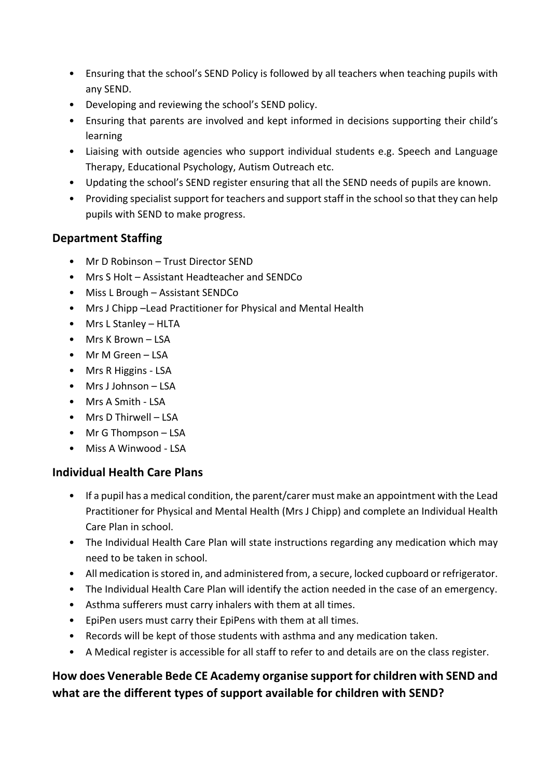- Ensuring that the school's SEND Policy is followed by all teachers when teaching pupils with any SEND.
- Developing and reviewing the school's SEND policy.
- Ensuring that parents are involved and kept informed in decisions supporting their child's learning
- Liaising with outside agencies who support individual students e.g. Speech and Language Therapy, Educational Psychology, Autism Outreach etc.
- Updating the school's SEND register ensuring that all the SEND needs of pupils are known.
- Providing specialist support for teachers and support staff in the school so that they can help pupils with SEND to make progress.

### **Department Staffing**

- Mr D Robinson Trust Director SEND
- Mrs S Holt Assistant Headteacher and SENDCo
- Miss L Brough Assistant SENDCo
- Mrs J Chipp –Lead Practitioner for Physical and Mental Health
- Mrs L Stanley HLTA
- Mrs K Brown LSA
- Mr M Green LSA
- Mrs R Higgins LSA
- Mrs J Johnson LSA
- Mrs A Smith LSA
- Mrs D Thirwell LSA
- Mr G Thompson LSA
- Miss A Winwood LSA

#### **Individual Health Care Plans**

- If a pupil has a medical condition, the parent/carer must make an appointment with the Lead Practitioner for Physical and Mental Health (Mrs J Chipp) and complete an Individual Health Care Plan in school.
- The Individual Health Care Plan will state instructions regarding any medication which may need to be taken in school.
- All medication is stored in, and administered from, a secure, locked cupboard or refrigerator.
- The Individual Health Care Plan will identify the action needed in the case of an emergency.
- Asthma sufferers must carry inhalers with them at all times.
- EpiPen users must carry their EpiPens with them at all times.
- Records will be kept of those students with asthma and any medication taken.
- A Medical register is accessible for all staff to refer to and details are on the class register.

# **How does Venerable Bede CE Academy organise support for children with SEND and what are the different types of support available for children with SEND?**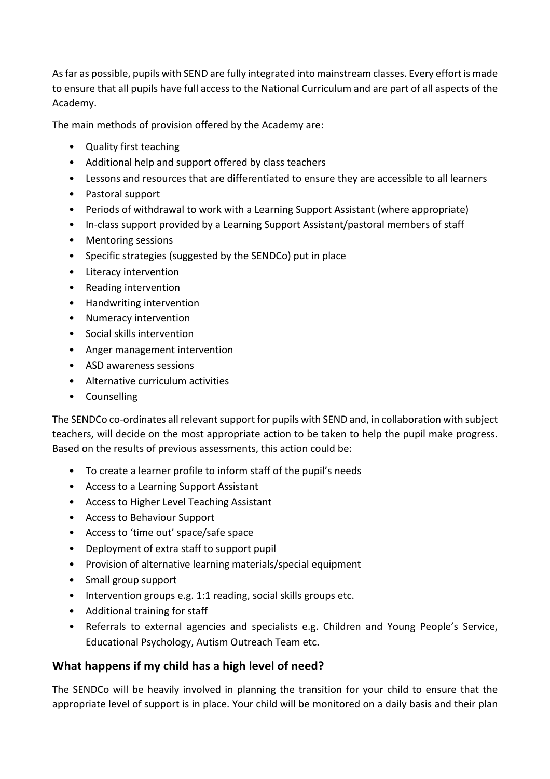As far as possible, pupils with SEND are fully integrated into mainstream classes. Every effort is made to ensure that all pupils have full access to the National Curriculum and are part of all aspects of the Academy.

The main methods of provision offered by the Academy are:

- Quality first teaching
- Additional help and support offered by class teachers
- Lessons and resources that are differentiated to ensure they are accessible to all learners
- Pastoral support
- Periods of withdrawal to work with a Learning Support Assistant (where appropriate)
- In-class support provided by a Learning Support Assistant/pastoral members of staff
- Mentoring sessions
- Specific strategies (suggested by the SENDCo) put in place
- Literacy intervention
- Reading intervention
- Handwriting intervention
- Numeracy intervention
- Social skills intervention
- Anger management intervention
- ASD awareness sessions
- Alternative curriculum activities
- Counselling

The SENDCo co-ordinates all relevant support for pupils with SEND and, in collaboration with subject teachers, will decide on the most appropriate action to be taken to help the pupil make progress. Based on the results of previous assessments, this action could be:

- To create a learner profile to inform staff of the pupil's needs
- Access to a Learning Support Assistant
- Access to Higher Level Teaching Assistant
- Access to Behaviour Support
- Access to 'time out' space/safe space
- Deployment of extra staff to support pupil
- Provision of alternative learning materials/special equipment
- Small group support
- Intervention groups e.g. 1:1 reading, social skills groups etc.
- Additional training for staff
- Referrals to external agencies and specialists e.g. Children and Young People's Service, Educational Psychology, Autism Outreach Team etc.

#### **What happens if my child has a high level of need?**

The SENDCo will be heavily involved in planning the transition for your child to ensure that the appropriate level of support is in place. Your child will be monitored on a daily basis and their plan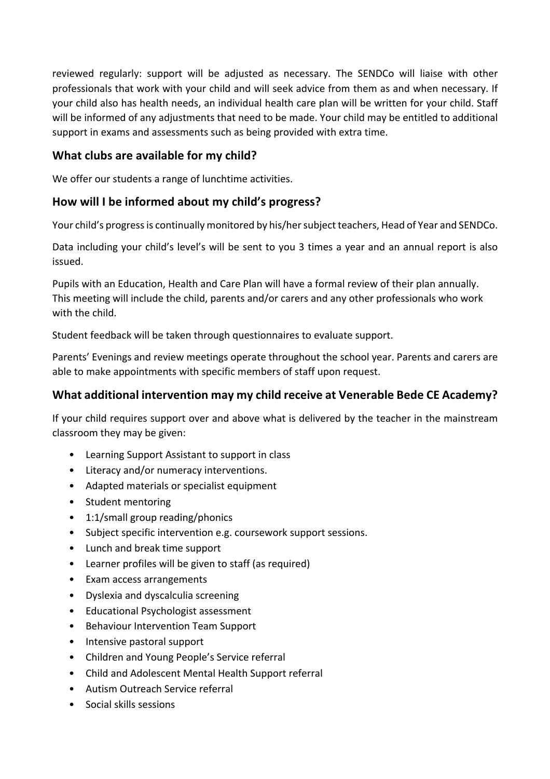reviewed regularly: support will be adjusted as necessary. The SENDCo will liaise with other professionals that work with your child and will seek advice from them as and when necessary. If your child also has health needs, an individual health care plan will be written for your child. Staff will be informed of any adjustments that need to be made. Your child may be entitled to additional support in exams and assessments such as being provided with extra time.

#### **What clubs are available for my child?**

We offer our students a range of lunchtime activities.

### **How will I be informed about my child's progress?**

Your child's progress is continually monitored by his/her subject teachers, Head of Year and SENDCo.

Data including your child's level's will be sent to you 3 times a year and an annual report is also issued.

Pupils with an Education, Health and Care Plan will have a formal review of their plan annually. This meeting will include the child, parents and/or carers and any other professionals who work with the child.

Student feedback will be taken through questionnaires to evaluate support.

Parents' Evenings and review meetings operate throughout the school year. Parents and carers are able to make appointments with specific members of staff upon request.

### **What additional intervention may my child receive at Venerable Bede CE Academy?**

If your child requires support over and above what is delivered by the teacher in the mainstream classroom they may be given:

- Learning Support Assistant to support in class
- Literacy and/or numeracy interventions.
- Adapted materials or specialist equipment
- Student mentoring
- 1:1/small group reading/phonics
- Subject specific intervention e.g. coursework support sessions.
- Lunch and break time support
- Learner profiles will be given to staff (as required)
- Exam access arrangements
- Dyslexia and dyscalculia screening
- Educational Psychologist assessment
- Behaviour Intervention Team Support
- Intensive pastoral support
- Children and Young People's Service referral
- Child and Adolescent Mental Health Support referral
- Autism Outreach Service referral
- Social skills sessions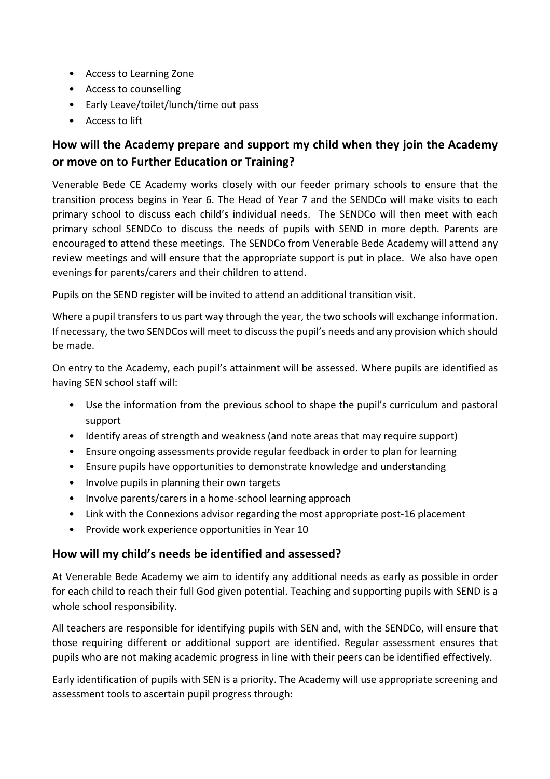- Access to Learning Zone
- Access to counselling
- Early Leave/toilet/lunch/time out pass
- Access to lift

# **How will the Academy prepare and support my child when they join the Academy or move on to Further Education or Training?**

Venerable Bede CE Academy works closely with our feeder primary schools to ensure that the transition process begins in Year 6. The Head of Year 7 and the SENDCo will make visits to each primary school to discuss each child's individual needs. The SENDCo will then meet with each primary school SENDCo to discuss the needs of pupils with SEND in more depth. Parents are encouraged to attend these meetings. The SENDCo from Venerable Bede Academy will attend any review meetings and will ensure that the appropriate support is put in place. We also have open evenings for parents/carers and their children to attend.

Pupils on the SEND register will be invited to attend an additional transition visit.

Where a pupil transfers to us part way through the year, the two schools will exchange information. If necessary, the two SENDCos will meet to discuss the pupil's needs and any provision which should be made.

On entry to the Academy, each pupil's attainment will be assessed. Where pupils are identified as having SEN school staff will:

- Use the information from the previous school to shape the pupil's curriculum and pastoral support
- Identify areas of strength and weakness (and note areas that may require support)
- Ensure ongoing assessments provide regular feedback in order to plan for learning
- Ensure pupils have opportunities to demonstrate knowledge and understanding
- Involve pupils in planning their own targets
- Involve parents/carers in a home-school learning approach
- Link with the Connexions advisor regarding the most appropriate post-16 placement
- Provide work experience opportunities in Year 10

### **How will my child's needs be identified and assessed?**

At Venerable Bede Academy we aim to identify any additional needs as early as possible in order for each child to reach their full God given potential. Teaching and supporting pupils with SEND is a whole school responsibility.

All teachers are responsible for identifying pupils with SEN and, with the SENDCo, will ensure that those requiring different or additional support are identified. Regular assessment ensures that pupils who are not making academic progress in line with their peers can be identified effectively.

Early identification of pupils with SEN is a priority. The Academy will use appropriate screening and assessment tools to ascertain pupil progress through: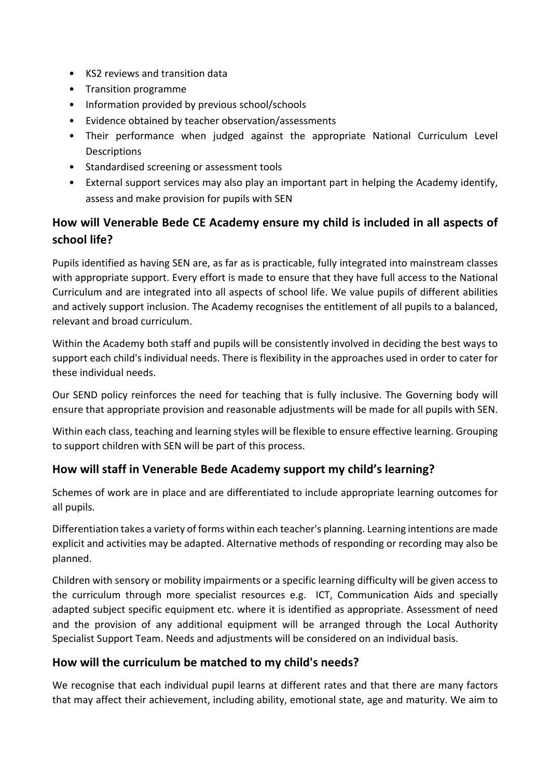- KS2 reviews and transition data
- Transition programme
- Information provided by previous school/schools
- Evidence obtained by teacher observation/assessments
- Their performance when judged against the appropriate National Curriculum Level Descriptions
- Standardised screening or assessment tools
- External support services may also play an important part in helping the Academy identify, assess and make provision for pupils with SEN

# **How will Venerable Bede CE Academy ensure my child is included in all aspects of school life?**

Pupils identified as having SEN are, as far as is practicable, fully integrated into mainstream classes with appropriate support. Every effort is made to ensure that they have full access to the National Curriculum and are integrated into all aspects of school life. We value pupils of different abilities and actively support inclusion. The Academy recognises the entitlement of all pupils to a balanced, relevant and broad curriculum.

Within the Academy both staff and pupils will be consistently involved in deciding the best ways to support each child's individual needs. There is flexibility in the approaches used in order to cater for these individual needs.

Our SEND policy reinforces the need for teaching that is fully inclusive. The Governing body will ensure that appropriate provision and reasonable adjustments will be made for all pupils with SEN.

Within each class, teaching and learning styles will be flexible to ensure effective learning. Grouping to support children with SEN will be part of this process.

### **How will staff in Venerable Bede Academy support my child's learning?**

Schemes of work are in place and are differentiated to include appropriate learning outcomes for all pupils.

Differentiation takes a variety of forms within each teacher's planning. Learning intentions are made explicit and activities may be adapted. Alternative methods of responding or recording may also be planned.

Children with sensory or mobility impairments or a specific learning difficulty will be given access to the curriculum through more specialist resources e.g. ICT, Communication Aids and specially adapted subject specific equipment etc. where it is identified as appropriate. Assessment of need and the provision of any additional equipment will be arranged through the Local Authority Specialist Support Team. Needs and adjustments will be considered on an individual basis.

### **How will the curriculum be matched to my child's needs?**

We recognise that each individual pupil learns at different rates and that there are many factors that may affect their achievement, including ability, emotional state, age and maturity. We aim to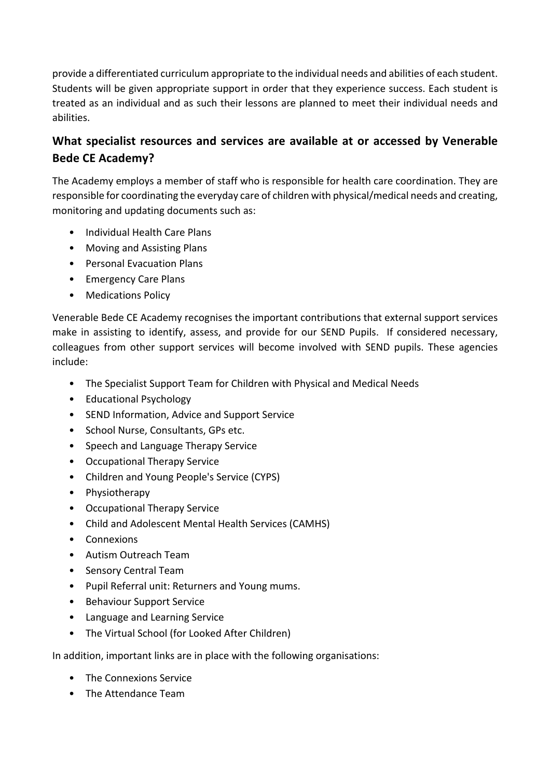provide a differentiated curriculum appropriate to the individual needs and abilities of each student. Students will be given appropriate support in order that they experience success. Each student is treated as an individual and as such their lessons are planned to meet their individual needs and abilities.

# **What specialist resources and services are available at or accessed by Venerable Bede CE Academy?**

The Academy employs a member of staff who is responsible for health care coordination. They are responsible for coordinating the everyday care of children with physical/medical needs and creating, monitoring and updating documents such as:

- Individual Health Care Plans
- Moving and Assisting Plans
- Personal Evacuation Plans
- Emergency Care Plans
- Medications Policy

Venerable Bede CE Academy recognises the important contributions that external support services make in assisting to identify, assess, and provide for our SEND Pupils. If considered necessary, colleagues from other support services will become involved with SEND pupils. These agencies include:

- The Specialist Support Team for Children with Physical and Medical Needs
- Educational Psychology
- SEND Information, Advice and Support Service
- School Nurse, Consultants, GPs etc.
- Speech and Language Therapy Service
- Occupational Therapy Service
- Children and Young People's Service (CYPS)
- Physiotherapy
- Occupational Therapy Service
- Child and Adolescent Mental Health Services (CAMHS)
- Connexions
- Autism Outreach Team
- Sensory Central Team
- Pupil Referral unit: Returners and Young mums.
- Behaviour Support Service
- Language and Learning Service
- The Virtual School (for Looked After Children)

In addition, important links are in place with the following organisations:

- The Connexions Service
- The Attendance Team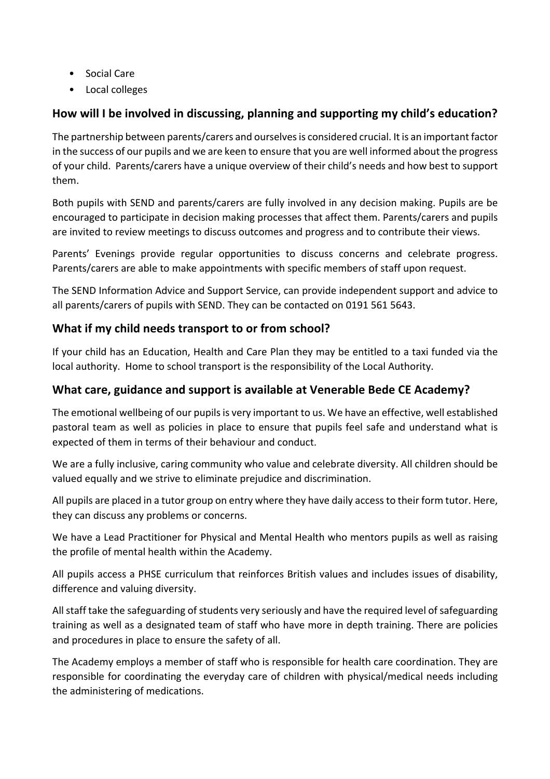- Social Care
- Local colleges

## **How will I be involved in discussing, planning and supporting my child's education?**

The partnership between parents/carers and ourselves is considered crucial. It is an important factor in the success of our pupils and we are keen to ensure that you are well informed about the progress of your child. Parents/carers have a unique overview of their child's needs and how best to support them.

Both pupils with SEND and parents/carers are fully involved in any decision making. Pupils are be encouraged to participate in decision making processes that affect them. Parents/carers and pupils are invited to review meetings to discuss outcomes and progress and to contribute their views.

Parents' Evenings provide regular opportunities to discuss concerns and celebrate progress. Parents/carers are able to make appointments with specific members of staff upon request.

The SEND Information Advice and Support Service, can provide independent support and advice to all parents/carers of pupils with SEND. They can be contacted on 0191 561 5643.

## **What if my child needs transport to or from school?**

If your child has an Education, Health and Care Plan they may be entitled to a taxi funded via the local authority. Home to school transport is the responsibility of the Local Authority.

### **What care, guidance and support is available at Venerable Bede CE Academy?**

The emotional wellbeing of our pupils is very important to us. We have an effective, well established pastoral team as well as policies in place to ensure that pupils feel safe and understand what is expected of them in terms of their behaviour and conduct.

We are a fully inclusive, caring community who value and celebrate diversity. All children should be valued equally and we strive to eliminate prejudice and discrimination.

All pupils are placed in a tutor group on entry where they have daily access to their form tutor. Here, they can discuss any problems or concerns.

We have a Lead Practitioner for Physical and Mental Health who mentors pupils as well as raising the profile of mental health within the Academy.

All pupils access a PHSE curriculum that reinforces British values and includes issues of disability, difference and valuing diversity.

All staff take the safeguarding of students very seriously and have the required level of safeguarding training as well as a designated team of staff who have more in depth training. There are policies and procedures in place to ensure the safety of all.

The Academy employs a member of staff who is responsible for health care coordination. They are responsible for coordinating the everyday care of children with physical/medical needs including the administering of medications.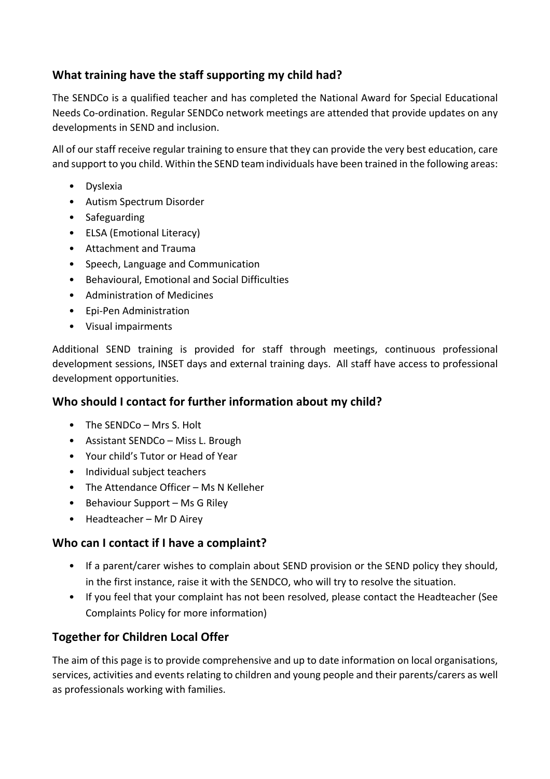## **What training have the staff supporting my child had?**

The SENDCo is a qualified teacher and has completed the National Award for Special Educational Needs Co-ordination. Regular SENDCo network meetings are attended that provide updates on any developments in SEND and inclusion.

All of our staff receive regular training to ensure that they can provide the very best education, care and support to you child. Within the SEND team individuals have been trained in the following areas:

- Dyslexia
- Autism Spectrum Disorder
- Safeguarding
- ELSA (Emotional Literacy)
- Attachment and Trauma
- Speech, Language and Communication
- Behavioural, Emotional and Social Difficulties
- Administration of Medicines
- Epi-Pen Administration
- Visual impairments

Additional SEND training is provided for staff through meetings, continuous professional development sessions, INSET days and external training days. All staff have access to professional development opportunities.

### **Who should I contact for further information about my child?**

- The SENDCo Mrs S. Holt
- Assistant SENDCo Miss L. Brough
- Your child's Tutor or Head of Year
- Individual subject teachers
- The Attendance Officer Ms N Kelleher
- Behaviour Support Ms G Riley
- Headteacher Mr D Airey

### **Who can I contact if I have a complaint?**

- If a parent/carer wishes to complain about SEND provision or the SEND policy they should, in the first instance, raise it with the SENDCO, who will try to resolve the situation.
- If you feel that your complaint has not been resolved, please contact the Headteacher (See Complaints Policy for more information)

## **Together for Children Local Offer**

The aim of this page is to provide comprehensive and up to date information on local organisations, services, activities and events relating to children and young people and their parents/carers as well as professionals working with families.